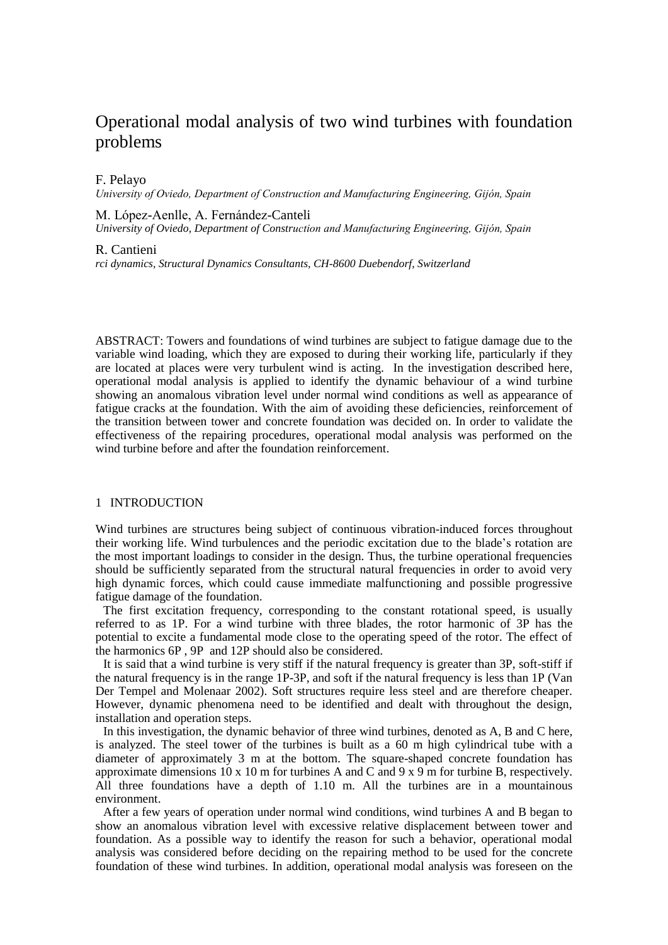# Operational modal analysis of two wind turbines with foundation problems

## F. Pelayo

*University of Oviedo, Department of Construction and Manufacturing Engineering, Gijón, Spain*

### M. López-Aenlle, A. Fernández-Canteli

*University of Oviedo, Department of Construction and Manufacturing Engineering, Gijón, Spain*

#### R. Cantieni

*rci dynamics, Structural Dynamics Consultants, CH-8600 Duebendorf, Switzerland*

ABSTRACT: Towers and foundations of wind turbines are subject to fatigue damage due to the variable wind loading, which they are exposed to during their working life, particularly if they are located at places were very turbulent wind is acting. In the investigation described here, operational modal analysis is applied to identify the dynamic behaviour of a wind turbine showing an anomalous vibration level under normal wind conditions as well as appearance of fatigue cracks at the foundation. With the aim of avoiding these deficiencies, reinforcement of the transition between tower and concrete foundation was decided on. In order to validate the effectiveness of the repairing procedures, operational modal analysis was performed on the wind turbine before and after the foundation reinforcement.

# 1 INTRODUCTION

Wind turbines are structures being subject of continuous vibration-induced forces throughout their working life. Wind turbulences and the periodic excitation due to the blade's rotation are the most important loadings to consider in the design. Thus, the turbine operational frequencies should be sufficiently separated from the structural natural frequencies in order to avoid very high dynamic forces, which could cause immediate malfunctioning and possible progressive fatigue damage of the foundation.

The first excitation frequency, corresponding to the constant rotational speed, is usually referred to as 1P. For a wind turbine with three blades, the rotor harmonic of 3P has the potential to excite a fundamental mode close to the operating speed of the rotor. The effect of the harmonics 6P , 9P and 12P should also be considered.

It is said that a wind turbine is very stiff if the natural frequency is greater than 3P, soft-stiff if the natural frequency is in the range 1P-3P, and soft if the natural frequency is less than 1P (Van Der Tempel and Molenaar 2002). Soft structures require less steel and are therefore cheaper. However, dynamic phenomena need to be identified and dealt with throughout the design, installation and operation steps.

In this investigation, the dynamic behavior of three wind turbines, denoted as A, B and C here, is analyzed. The steel tower of the turbines is built as a 60 m high cylindrical tube with a diameter of approximately 3 m at the bottom. The square-shaped concrete foundation has approximate dimensions  $10 \times 10$  m for turbines A and C and  $9 \times 9$  m for turbine B, respectively. All three foundations have a depth of 1.10 m. All the turbines are in a mountainous environment.

After a few years of operation under normal wind conditions, wind turbines A and B began to show an anomalous vibration level with excessive relative displacement between tower and foundation. As a possible way to identify the reason for such a behavior, operational modal analysis was considered before deciding on the repairing method to be used for the concrete foundation of these wind turbines. In addition, operational modal analysis was foreseen on the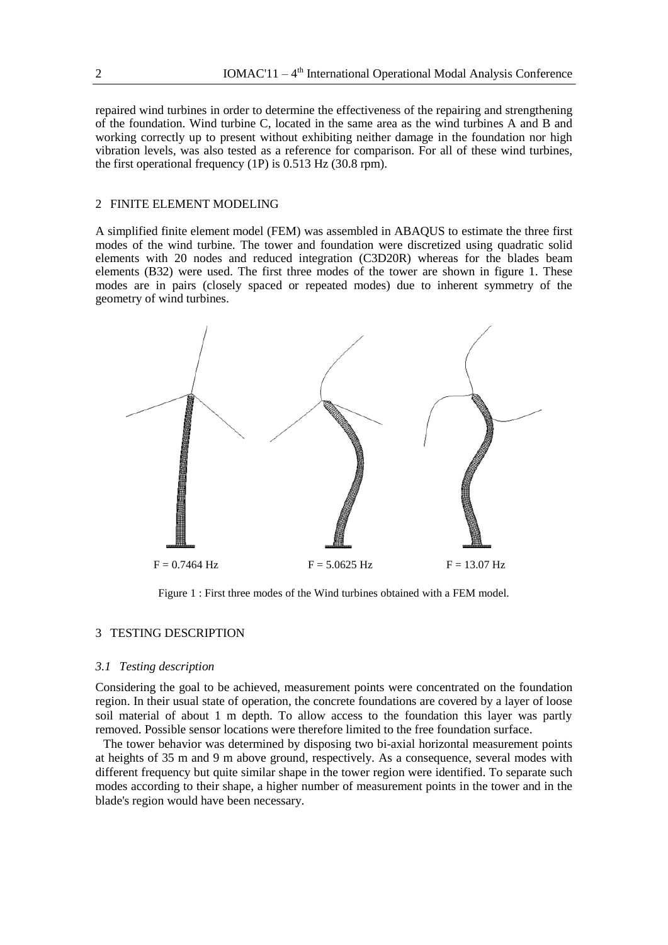repaired wind turbines in order to determine the effectiveness of the repairing and strengthening of the foundation. Wind turbine C, located in the same area as the wind turbines A and B and working correctly up to present without exhibiting neither damage in the foundation nor high vibration levels, was also tested as a reference for comparison. For all of these wind turbines, the first operational frequency (1P) is 0.513 Hz (30.8 rpm).

# 2 FINITE ELEMENT MODELING

A simplified finite element model (FEM) was assembled in ABAQUS to estimate the three first modes of the wind turbine. The tower and foundation were discretized using quadratic solid elements with 20 nodes and reduced integration (C3D20R) whereas for the blades beam elements (B32) were used. The first three modes of the tower are shown in figure 1. These modes are in pairs (closely spaced or repeated modes) due to inherent symmetry of the geometry of wind turbines.



Figure 1 : First three modes of the Wind turbines obtained with a FEM model.

# 3 TESTING DESCRIPTION

#### *3.1 Testing description*

Considering the goal to be achieved, measurement points were concentrated on the foundation region. In their usual state of operation, the concrete foundations are covered by a layer of loose soil material of about 1 m depth. To allow access to the foundation this layer was partly removed. Possible sensor locations were therefore limited to the free foundation surface.

The tower behavior was determined by disposing two bi-axial horizontal measurement points at heights of 35 m and 9 m above ground, respectively. As a consequence, several modes with different frequency but quite similar shape in the tower region were identified. To separate such modes according to their shape, a higher number of measurement points in the tower and in the blade's region would have been necessary.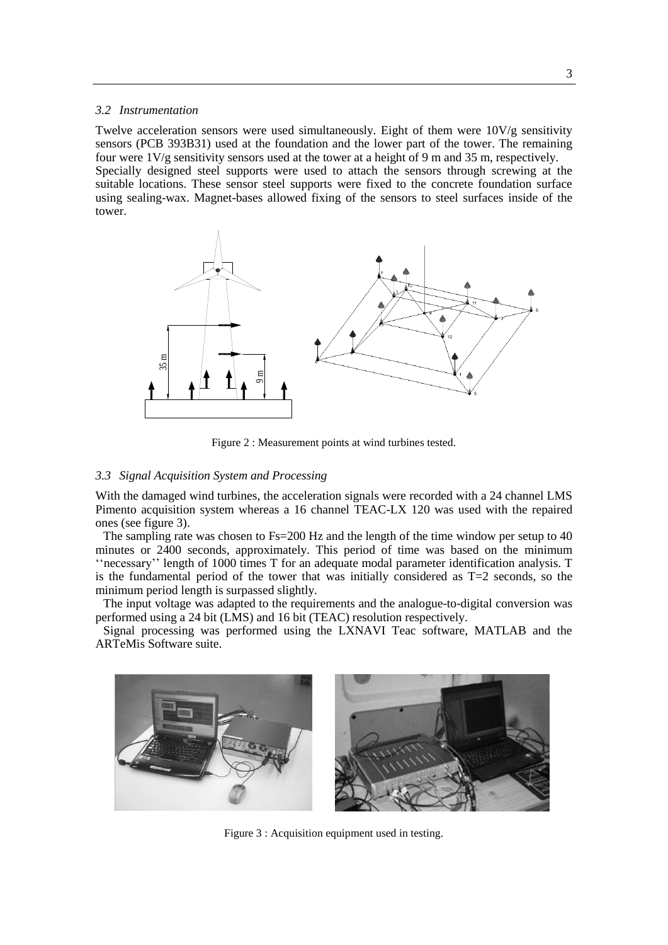### *3.2 Instrumentation*

Twelve acceleration sensors were used simultaneously. Eight of them were 10V/g sensitivity sensors (PCB 393B31) used at the foundation and the lower part of the tower. The remaining four were 1V/g sensitivity sensors used at the tower at a height of 9 m and 35 m, respectively. Specially designed steel supports were used to attach the sensors through screwing at the suitable locations. These sensor steel supports were fixed to the concrete foundation surface using sealing-wax. Magnet-bases allowed fixing of the sensors to steel surfaces inside of the tower.



Figure 2 : Measurement points at wind turbines tested.

#### *3.3 Signal Acquisition System and Processing*

With the damaged wind turbines, the acceleration signals were recorded with a 24 channel LMS Pimento acquisition system whereas a 16 channel TEAC-LX 120 was used with the repaired ones (see figure 3).

The sampling rate was chosen to Fs=200 Hz and the length of the time window per setup to 40 minutes or 2400 seconds, approximately. This period of time was based on the minimum ''necessary'' length of 1000 times T for an adequate modal parameter identification analysis. T is the fundamental period of the tower that was initially considered as  $T=2$  seconds, so the minimum period length is surpassed slightly.

The input voltage was adapted to the requirements and the analogue-to-digital conversion was performed using a 24 bit (LMS) and 16 bit (TEAC) resolution respectively.

Signal processing was performed using the LXNAVI Teac software, MATLAB and the ARTeMis Software suite.



Figure 3 : Acquisition equipment used in testing.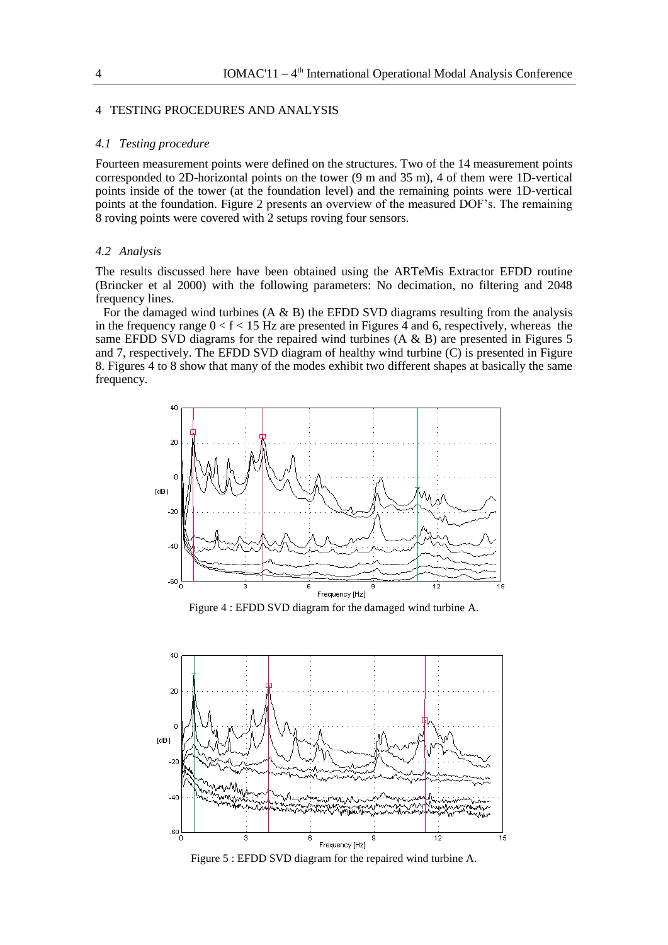#### 4 TESTING PROCEDURES AND ANALYSIS

#### *4.1 Testing procedure*

Fourteen measurement points were defined on the structures. Two of the 14 measurement points corresponded to 2D-horizontal points on the tower (9 m and 35 m), 4 of them were 1D-vertical points inside of the tower (at the foundation level) and the remaining points were 1D-vertical points at the foundation. Figure 2 presents an overview of the measured DOF's. The remaining 8 roving points were covered with 2 setups roving four sensors.

#### *4.2 Analysis*

The results discussed here have been obtained using the ARTeMis Extractor EFDD routine (Brincker et al 2000) with the following parameters: No decimation, no filtering and 2048 frequency lines.

For the damaged wind turbines  $(A \& B)$  the EFDD SVD diagrams resulting from the analysis in the frequency range  $0 < f < 15$  Hz are presented in Figures 4 and 6, respectively, whereas the same EFDD SVD diagrams for the repaired wind turbines  $(A \& B)$  are presented in Figures 5 and 7, respectively. The EFDD SVD diagram of healthy wind turbine (C) is presented in Figure 8. Figures 4 to 8 show that many of the modes exhibit two different shapes at basically the same frequency.



Figure 4 : EFDD SVD diagram for the damaged wind turbine A.



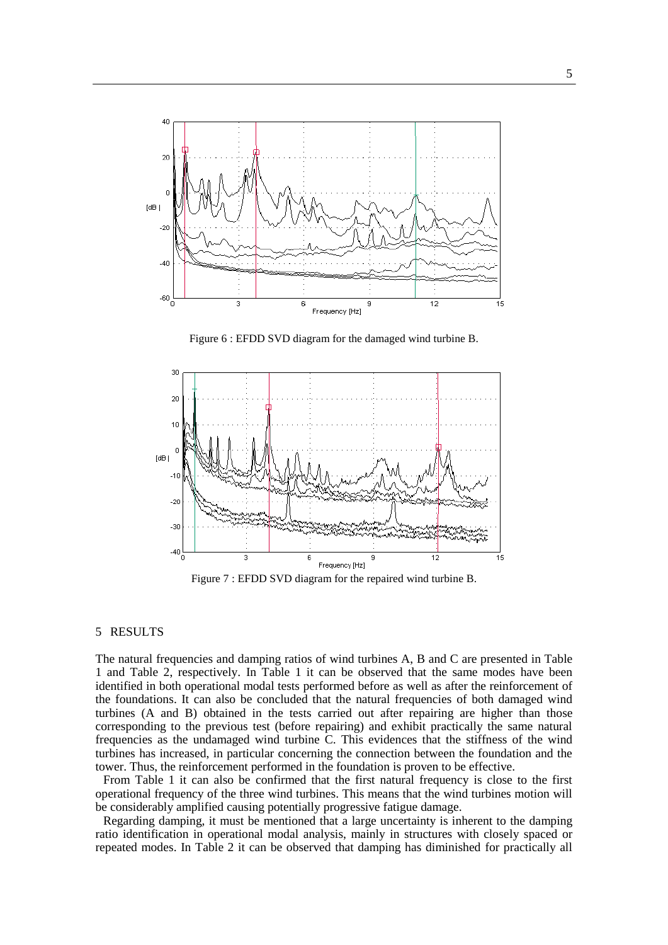

Figure 6 : EFDD SVD diagram for the damaged wind turbine B.



Figure 7 : EFDD SVD diagram for the repaired wind turbine B.

## 5 RESULTS

The natural frequencies and damping ratios of wind turbines A, B and C are presented in Table 1 and Table 2, respectively. In Table 1 it can be observed that the same modes have been identified in both operational modal tests performed before as well as after the reinforcement of the foundations. It can also be concluded that the natural frequencies of both damaged wind turbines (A and B) obtained in the tests carried out after repairing are higher than those corresponding to the previous test (before repairing) and exhibit practically the same natural frequencies as the undamaged wind turbine C. This evidences that the stiffness of the wind turbines has increased, in particular concerning the connection between the foundation and the tower. Thus, the reinforcement performed in the foundation is proven to be effective.

From Table 1 it can also be confirmed that the first natural frequency is close to the first operational frequency of the three wind turbines. This means that the wind turbines motion will be considerably amplified causing potentially progressive fatigue damage.

Regarding damping, it must be mentioned that a large uncertainty is inherent to the damping ratio identification in operational modal analysis, mainly in structures with closely spaced or repeated modes. In Table 2 it can be observed that damping has diminished for practically all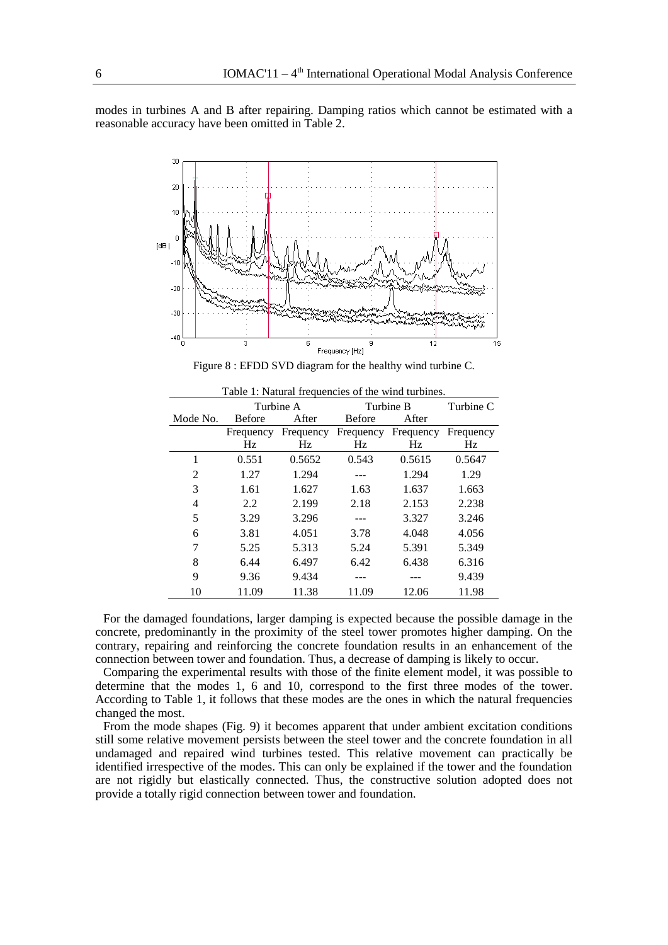modes in turbines A and B after repairing. Damping ratios which cannot be estimated with a reasonable accuracy have been omitted in Table 2.



Figure 8 : EFDD SVD diagram for the healthy wind turbine C.

|                | Turbine A     |           | Turbine B     |           | Turbine C |
|----------------|---------------|-----------|---------------|-----------|-----------|
| Mode No.       | <b>Before</b> | After     | <b>Before</b> | After     |           |
|                | Frequency     | Frequency | Frequency     | Frequency | Frequency |
|                | Hz            | Hz        | Hz            | Hz        | Hz        |
| 1              | 0.551         | 0.5652    | 0.543         | 0.5615    | 0.5647    |
| $\mathfrak{D}$ | 1.27          | 1.294     |               | 1.294     | 1.29      |
| 3              | 1.61          | 1.627     | 1.63          | 1.637     | 1.663     |
| 4              | 2.2           | 2.199     | 2.18          | 2.153     | 2.238     |
| 5              | 3.29          | 3.296     |               | 3.327     | 3.246     |
| 6              | 3.81          | 4.051     | 3.78          | 4.048     | 4.056     |
| 7              | 5.25          | 5.313     | 5.24          | 5.391     | 5.349     |
| 8              | 6.44          | 6.497     | 6.42          | 6.438     | 6.316     |
| 9              | 9.36          | 9.434     |               |           | 9.439     |
| 10             | 11.09         | 11.38     | 11.09         | 12.06     | 11.98     |

Table 1: Natural frequencies of the wind turbines.

For the damaged foundations, larger damping is expected because the possible damage in the concrete, predominantly in the proximity of the steel tower promotes higher damping. On the contrary, repairing and reinforcing the concrete foundation results in an enhancement of the connection between tower and foundation. Thus, a decrease of damping is likely to occur.

Comparing the experimental results with those of the finite element model, it was possible to determine that the modes 1, 6 and 10, correspond to the first three modes of the tower. According to Table 1, it follows that these modes are the ones in which the natural frequencies changed the most.

From the mode shapes (Fig. 9) it becomes apparent that under ambient excitation conditions still some relative movement persists between the steel tower and the concrete foundation in all undamaged and repaired wind turbines tested. This relative movement can practically be identified irrespective of the modes. This can only be explained if the tower and the foundation are not rigidly but elastically connected. Thus, the constructive solution adopted does not provide a totally rigid connection between tower and foundation.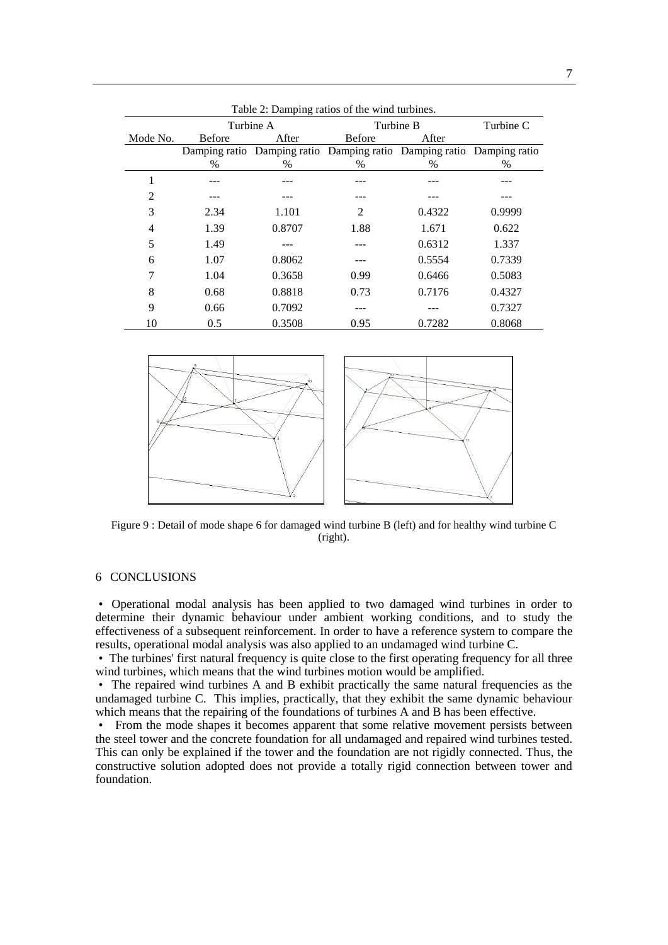| Table 2: Damping ratios of the wind turbines. |               |                                                                       |                |        |           |  |  |  |
|-----------------------------------------------|---------------|-----------------------------------------------------------------------|----------------|--------|-----------|--|--|--|
|                                               |               | Turbine A                                                             | Turbine B      |        | Turbine C |  |  |  |
| Mode No.                                      | <b>Before</b> | After                                                                 | <b>Before</b>  | After  |           |  |  |  |
|                                               |               | Damping ratio Damping ratio Damping ratio Damping ratio Damping ratio |                |        |           |  |  |  |
|                                               | $\%$          | $\%$                                                                  | $\%$           | $\%$   | %         |  |  |  |
| 1                                             |               |                                                                       |                |        |           |  |  |  |
| 2                                             |               |                                                                       |                |        |           |  |  |  |
| 3                                             | 2.34          | 1.101                                                                 | $\overline{c}$ | 0.4322 | 0.9999    |  |  |  |
| 4                                             | 1.39          | 0.8707                                                                | 1.88           | 1.671  | 0.622     |  |  |  |
| 5                                             | 1.49          |                                                                       |                | 0.6312 | 1.337     |  |  |  |
| 6                                             | 1.07          | 0.8062                                                                |                | 0.5554 | 0.7339    |  |  |  |
| 7                                             | 1.04          | 0.3658                                                                | 0.99           | 0.6466 | 0.5083    |  |  |  |
| 8                                             | 0.68          | 0.8818                                                                | 0.73           | 0.7176 | 0.4327    |  |  |  |
| 9                                             | 0.66          | 0.7092                                                                |                |        | 0.7327    |  |  |  |
| 10                                            | 0.5           | 0.3508                                                                | 0.95           | 0.7282 | 0.8068    |  |  |  |



Figure 9 : Detail of mode shape 6 for damaged wind turbine B (left) and for healthy wind turbine C (right).

# 6 CONCLUSIONS

• Operational modal analysis has been applied to two damaged wind turbines in order to determine their dynamic behaviour under ambient working conditions, and to study the effectiveness of a subsequent reinforcement. In order to have a reference system to compare the results, operational modal analysis was also applied to an undamaged wind turbine C.

• The turbines' first natural frequency is quite close to the first operating frequency for all three wind turbines, which means that the wind turbines motion would be amplified.

• The repaired wind turbines A and B exhibit practically the same natural frequencies as the undamaged turbine C. This implies, practically, that they exhibit the same dynamic behaviour which means that the repairing of the foundations of turbines A and B has been effective.

• From the mode shapes it becomes apparent that some relative movement persists between the steel tower and the concrete foundation for all undamaged and repaired wind turbines tested. This can only be explained if the tower and the foundation are not rigidly connected. Thus, the constructive solution adopted does not provide a totally rigid connection between tower and foundation.